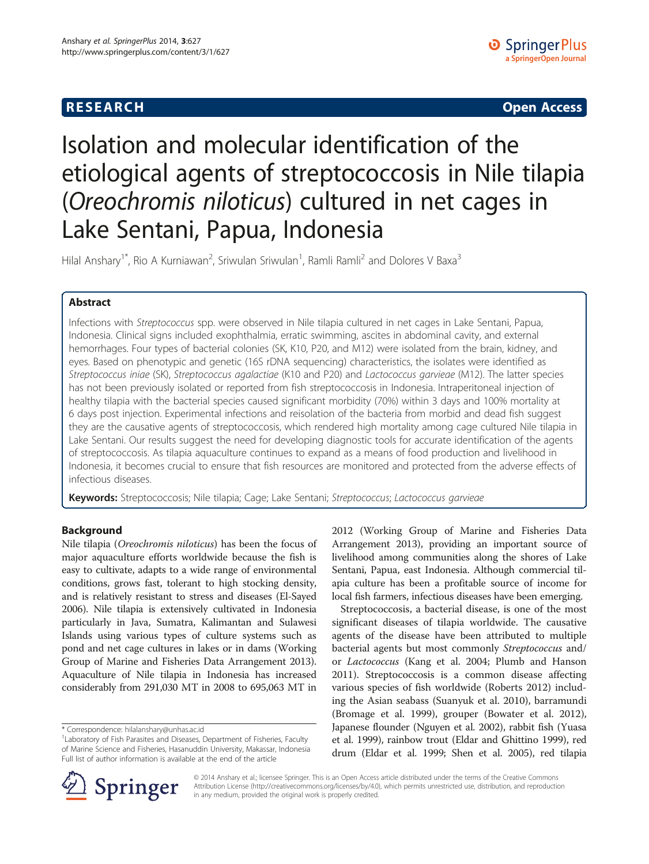# **RESEARCH CHINESE ARCH CHINESE ARCH CHINESE ARCH <b>CHINESE ARCH**

# Isolation and molecular identification of the etiological agents of streptococcosis in Nile tilapia (Oreochromis niloticus) cultured in net cages in Lake Sentani, Papua, Indonesia

Hilal Anshary<sup>1\*</sup>, Rio A Kurniawan<sup>2</sup>, Sriwulan Sriwulan<sup>1</sup>, Ramli Ramli<sup>2</sup> and Dolores V Baxa<sup>3</sup>

# Abstract

Infections with Streptococcus spp. were observed in Nile tilapia cultured in net cages in Lake Sentani, Papua, Indonesia. Clinical signs included exophthalmia, erratic swimming, ascites in abdominal cavity, and external hemorrhages. Four types of bacterial colonies (SK, K10, P20, and M12) were isolated from the brain, kidney, and eyes. Based on phenotypic and genetic (16S rDNA sequencing) characteristics, the isolates were identified as Streptococcus iniae (SK), Streptococcus agalactiae (K10 and P20) and Lactococcus garvieae (M12). The latter species has not been previously isolated or reported from fish streptococcosis in Indonesia. Intraperitoneal injection of healthy tilapia with the bacterial species caused significant morbidity (70%) within 3 days and 100% mortality at 6 days post injection. Experimental infections and reisolation of the bacteria from morbid and dead fish suggest they are the causative agents of streptococcosis, which rendered high mortality among cage cultured Nile tilapia in Lake Sentani. Our results suggest the need for developing diagnostic tools for accurate identification of the agents of streptococcosis. As tilapia aquaculture continues to expand as a means of food production and livelihood in Indonesia, it becomes crucial to ensure that fish resources are monitored and protected from the adverse effects of infectious diseases.

Keywords: Streptococcosis; Nile tilapia; Cage; Lake Sentani; Streptococcus; Lactococcus garvieae

# Background

Nile tilapia (Oreochromis niloticus) has been the focus of major aquaculture efforts worldwide because the fish is easy to cultivate, adapts to a wide range of environmental conditions, grows fast, tolerant to high stocking density, and is relatively resistant to stress and diseases (El-Sayed [2006\)](#page-9-0). Nile tilapia is extensively cultivated in Indonesia particularly in Java, Sumatra, Kalimantan and Sulawesi Islands using various types of culture systems such as pond and net cage cultures in lakes or in dams (Working Group of Marine and Fisheries Data Arrangement [2013](#page-9-0)). Aquaculture of Nile tilapia in Indonesia has increased considerably from 291,030 MT in 2008 to 695,063 MT in

2012 (Working Group of Marine and Fisheries Data Arrangement [2013](#page-9-0)), providing an important source of livelihood among communities along the shores of Lake Sentani, Papua, east Indonesia. Although commercial tilapia culture has been a profitable source of income for local fish farmers, infectious diseases have been emerging.

Streptococcosis, a bacterial disease, is one of the most significant diseases of tilapia worldwide. The causative agents of the disease have been attributed to multiple bacterial agents but most commonly Streptococcus and/ or Lactococcus (Kang et al. [2004;](#page-9-0) Plumb and Hanson [2011](#page-9-0)). Streptococcosis is a common disease affecting various species of fish worldwide (Roberts [2012\)](#page-9-0) including the Asian seabass (Suanyuk et al. [2010\)](#page-9-0), barramundi (Bromage et al. [1999](#page-8-0)), grouper (Bowater et al. [2012](#page-8-0)), Japanese flounder (Nguyen et al. [2002\)](#page-9-0), rabbit fish (Yuasa et al. [1999](#page-10-0)), rainbow trout (Eldar and Ghittino [1999\)](#page-9-0), red drum (Eldar et al. [1999](#page-9-0); Shen et al. [2005\)](#page-9-0), red tilapia



© 2014 Anshary et al.; licensee Springer. This is an Open Access article distributed under the terms of the Creative Commons Attribution License [\(http://creativecommons.org/licenses/by/4.0\)](http://creativecommons.org/licenses/by/4.0), which permits unrestricted use, distribution, and reproduction in any medium, provided the original work is properly credited.

<sup>\*</sup> Correspondence: [hilalanshary@unhas.ac.id](mailto:hilalanshary@unhas.ac.id) <sup>1</sup>

<sup>&</sup>lt;sup>1</sup> Laboratory of Fish Parasites and Diseases, Department of Fisheries, Faculty of Marine Science and Fisheries, Hasanuddin University, Makassar, Indonesia Full list of author information is available at the end of the article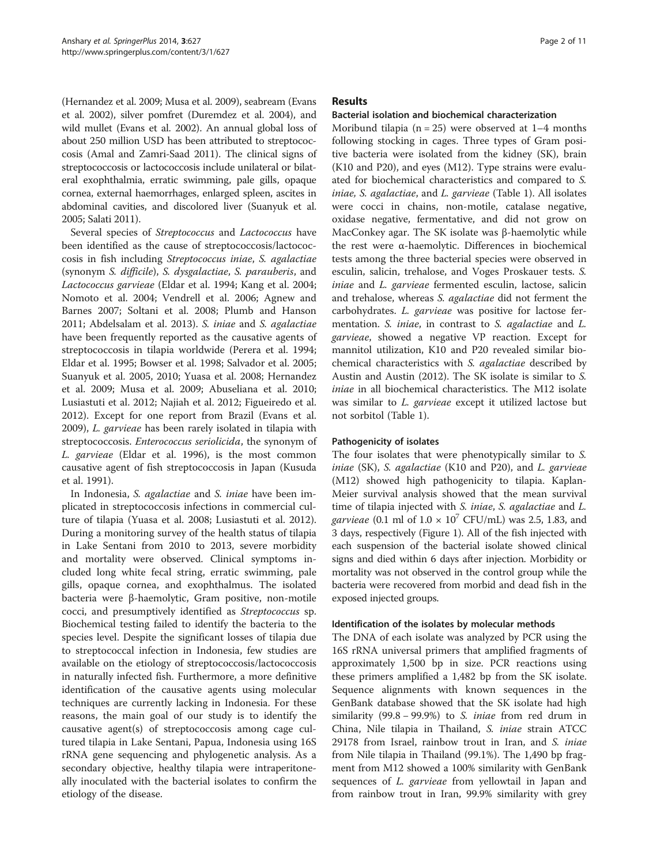(Hernandez et al. [2009;](#page-9-0) Musa et al. [2009\)](#page-9-0), seabream (Evans et al. [2002](#page-9-0)), silver pomfret (Duremdez et al. [2004](#page-9-0)), and wild mullet (Evans et al. [2002](#page-9-0)). An annual global loss of about 250 million USD has been attributed to streptococcosis (Amal and Zamri-Saad [2011](#page-8-0)). The clinical signs of streptococcosis or lactococcosis include unilateral or bilateral exophthalmia, erratic swimming, pale gills, opaque cornea, external haemorrhages, enlarged spleen, ascites in abdominal cavities, and discolored liver (Suanyuk et al. [2005;](#page-9-0) Salati [2011\)](#page-9-0).

Several species of Streptococcus and Lactococcus have been identified as the cause of streptococcosis/lactococcosis in fish including Streptococcus iniae, S. agalactiae (synonym S. difficile), S. dysgalactiae, S. parauberis, and Lactococcus garvieae (Eldar et al. [1994;](#page-9-0) Kang et al. [2004](#page-9-0); Nomoto et al. [2004;](#page-9-0) Vendrell et al. [2006](#page-9-0); Agnew and Barnes [2007](#page-8-0); Soltani et al. [2008](#page-9-0); Plumb and Hanson [2011](#page-9-0); Abdelsalam et al. [2013\)](#page-8-0). S. iniae and S. agalactiae have been frequently reported as the causative agents of streptococcosis in tilapia worldwide (Perera et al. [1994](#page-9-0); Eldar et al. [1995](#page-9-0); Bowser et al. [1998](#page-8-0); Salvador et al. [2005](#page-9-0); Suanyuk et al. [2005](#page-9-0), [2010;](#page-9-0) Yuasa et al. [2008](#page-10-0); Hernandez et al. [2009](#page-9-0); Musa et al. [2009;](#page-9-0) Abuseliana et al. [2010](#page-8-0); Lusiastuti et al. [2012;](#page-9-0) Najiah et al. [2012](#page-9-0); Figueiredo et al. [2012](#page-9-0)). Except for one report from Brazil (Evans et al. [2009](#page-9-0)), L. garvieae has been rarely isolated in tilapia with streptococcosis. Enterococcus seriolicida, the synonym of L. garvieae (Eldar et al. [1996\)](#page-9-0), is the most common causative agent of fish streptococcosis in Japan (Kusuda et al. [1991\)](#page-9-0).

In Indonesia, S. agalactiae and S. iniae have been implicated in streptococcosis infections in commercial culture of tilapia (Yuasa et al. [2008](#page-10-0); Lusiastuti et al. [2012](#page-9-0)). During a monitoring survey of the health status of tilapia in Lake Sentani from 2010 to 2013, severe morbidity and mortality were observed. Clinical symptoms included long white fecal string, erratic swimming, pale gills, opaque cornea, and exophthalmus. The isolated bacteria were β-haemolytic, Gram positive, non-motile cocci, and presumptively identified as Streptococcus sp. Biochemical testing failed to identify the bacteria to the species level. Despite the significant losses of tilapia due to streptococcal infection in Indonesia, few studies are available on the etiology of streptococcosis/lactococcosis in naturally infected fish. Furthermore, a more definitive identification of the causative agents using molecular techniques are currently lacking in Indonesia. For these reasons, the main goal of our study is to identify the causative agent(s) of streptococcosis among cage cultured tilapia in Lake Sentani, Papua, Indonesia using 16S rRNA gene sequencing and phylogenetic analysis. As a secondary objective, healthy tilapia were intraperitoneally inoculated with the bacterial isolates to confirm the etiology of the disease.

## Results

#### Bacterial isolation and biochemical characterization

Moribund tilapia ( $n = 25$ ) were observed at 1–4 months following stocking in cages. Three types of Gram positive bacteria were isolated from the kidney (SK), brain (K10 and P20), and eyes (M12). Type strains were evaluated for biochemical characteristics and compared to S. iniae, S. agalactiae, and L. garvieae (Table [1\)](#page-2-0). All isolates were cocci in chains, non-motile, catalase negative, oxidase negative, fermentative, and did not grow on MacConkey agar. The SK isolate was β-haemolytic while the rest were α-haemolytic. Differences in biochemical tests among the three bacterial species were observed in esculin, salicin, trehalose, and Voges Proskauer tests. S. iniae and L. garvieae fermented esculin, lactose, salicin and trehalose, whereas S. agalactiae did not ferment the carbohydrates. L. garvieae was positive for lactose fermentation. S. iniae, in contrast to S. agalactiae and L. garvieae, showed a negative VP reaction. Except for mannitol utilization, K10 and P20 revealed similar biochemical characteristics with S. agalactiae described by Austin and Austin [\(2012\)](#page-8-0). The SK isolate is similar to S. iniae in all biochemical characteristics. The M12 isolate was similar to L. garvieae except it utilized lactose but not sorbitol (Table [1\)](#page-2-0).

## Pathogenicity of isolates

The four isolates that were phenotypically similar to S. iniae (SK), S. agalactiae (K10 and P20), and L. garvieae (M12) showed high pathogenicity to tilapia. Kaplan-Meier survival analysis showed that the mean survival time of tilapia injected with S. iniae, S. agalactiae and L. garvieae (0.1 ml of  $1.0 \times 10^7$  CFU/mL) was 2.5, 1.83, and 3 days, respectively (Figure [1](#page-3-0)). All of the fish injected with each suspension of the bacterial isolate showed clinical signs and died within 6 days after injection. Morbidity or mortality was not observed in the control group while the bacteria were recovered from morbid and dead fish in the exposed injected groups.

#### Identification of the isolates by molecular methods

The DNA of each isolate was analyzed by PCR using the 16S rRNA universal primers that amplified fragments of approximately 1,500 bp in size. PCR reactions using these primers amplified a 1,482 bp from the SK isolate. Sequence alignments with known sequences in the GenBank database showed that the SK isolate had high similarity (99.8 – 99.9%) to S. *iniae* from red drum in China, Nile tilapia in Thailand, S. iniae strain ATCC 29178 from Israel, rainbow trout in Iran, and S. iniae from Nile tilapia in Thailand (99.1%). The 1,490 bp fragment from M12 showed a 100% similarity with GenBank sequences of *L. garvieae* from yellowtail in Japan and from rainbow trout in Iran, 99.9% similarity with grey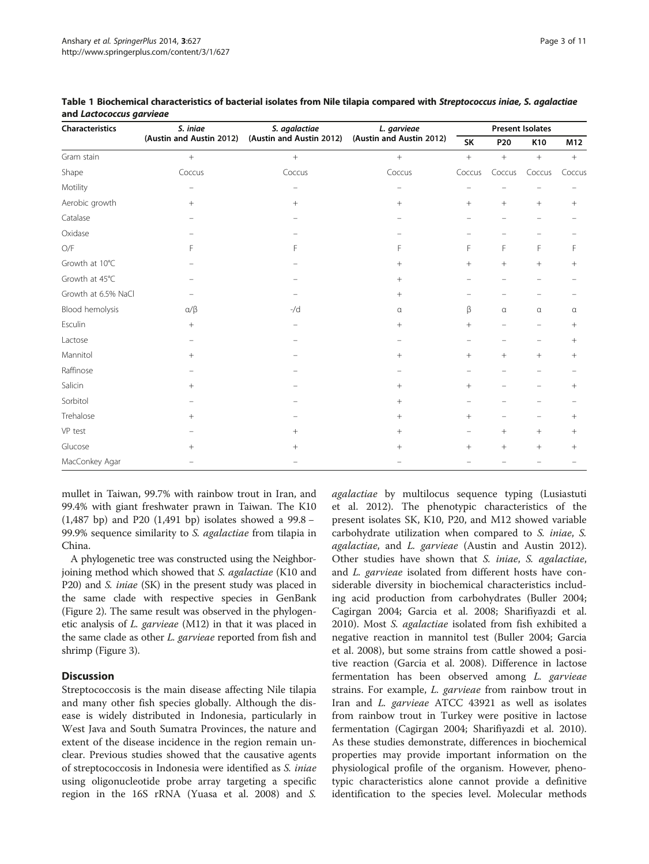| <b>Characteristics</b> | S. iniae<br>(Austin and Austin 2012) | S. agalactiae<br>(Austin and Austin 2012) | L. garvieae<br>(Austin and Austin 2012) | <b>Present Isolates</b> |                 |          |        |
|------------------------|--------------------------------------|-------------------------------------------|-----------------------------------------|-------------------------|-----------------|----------|--------|
|                        |                                      |                                           |                                         | <b>SK</b>               | P <sub>20</sub> | K10      | M12    |
| Gram stain             | $+$                                  | $^{+}$                                    | $^{+}$                                  | $^{+}$                  | $^{+}$          | $^{+}$   | $^{+}$ |
| Shape                  | Coccus                               | Coccus                                    | Coccus                                  | Coccus                  | Coccus          | Coccus   | Coccus |
| Motility               | $\overline{\phantom{0}}$             |                                           |                                         |                         |                 |          |        |
| Aerobic growth         | $^{+}$                               | $+$                                       | $^{+}$                                  | $+$                     | $+$             | $+$      | $+$    |
| Catalase               |                                      |                                           |                                         |                         |                 |          |        |
| Oxidase                |                                      |                                           |                                         |                         |                 |          |        |
| O/F                    | F                                    | F                                         | F                                       | F                       | F               | F        | F      |
| Growth at 10°C         |                                      |                                           | $^{+}$                                  | $+$                     | $+$             | $+$      | $^{+}$ |
| Growth at 45°C         |                                      |                                           | $^{+}$                                  |                         |                 |          |        |
| Growth at 6.5% NaCl    |                                      |                                           | $^{+}$                                  |                         |                 |          |        |
| Blood hemolysis        | $\alpha/\beta$                       | $-\sqrt{d}$                               | α                                       | β                       | $\alpha$        | $\alpha$ | α      |
| Esculin                | $^{+}$                               |                                           | $^{+}$                                  | $^{+}$                  |                 |          | $^{+}$ |
| Lactose                |                                      |                                           |                                         |                         |                 |          | $^{+}$ |
| Mannitol               | $^{+}$                               |                                           | $^{+}$                                  | $+$                     | $+$             | $+$      | $^{+}$ |
| Raffinose              |                                      |                                           |                                         |                         |                 |          |        |
| Salicin                | $\! + \!\!\!\!$                      |                                           | $^{+}$                                  | $^{+}$                  |                 |          | $^{+}$ |
| Sorbitol               |                                      |                                           | $^{+}$                                  |                         |                 |          |        |
| Trehalose              | $\! + \!\!\!\!$                      |                                           | $^{+}$                                  | $^{+}$                  |                 |          | $^{+}$ |
| VP test                |                                      | $+$                                       | $+$                                     |                         | $^{+}$          | $+$      | $^{+}$ |
| Glucose                | $^{+}$                               | $^{+}$                                    | $^{+}$                                  | $^{+}$                  | $^{+}$          | $^{+}$   | $^{+}$ |

MacConkey Agar – – – ––––

<span id="page-2-0"></span>Table 1 Biochemical characteristics of bacterial isolates from Nile tilapia compared with Streptococcus iniae, S. agalactiae and Lactococcus garvieae

mullet in Taiwan, 99.7% with rainbow trout in Iran, and 99.4% with giant freshwater prawn in Taiwan. The K10 (1,487 bp) and P20 (1,491 bp) isolates showed a 99.8 − 99.9% sequence similarity to S. agalactiae from tilapia in China.

A phylogenetic tree was constructed using the Neighborjoining method which showed that *S. agalactiae* (K10 and P20) and S. iniae (SK) in the present study was placed in the same clade with respective species in GenBank (Figure [2\)](#page-4-0). The same result was observed in the phylogenetic analysis of L. garvieae (M12) in that it was placed in the same clade as other L. garvieae reported from fish and shrimp (Figure [3](#page-5-0)).

# **Discussion**

Streptococcosis is the main disease affecting Nile tilapia and many other fish species globally. Although the disease is widely distributed in Indonesia, particularly in West Java and South Sumatra Provinces, the nature and extent of the disease incidence in the region remain unclear. Previous studies showed that the causative agents of streptococcosis in Indonesia were identified as S. iniae using oligonucleotide probe array targeting a specific region in the 16S rRNA (Yuasa et al. [2008\)](#page-10-0) and S.

agalactiae by multilocus sequence typing (Lusiastuti et al. [2012\)](#page-9-0). The phenotypic characteristics of the present isolates SK, K10, P20, and M12 showed variable carbohydrate utilization when compared to S. iniae, S. agalactiae, and L. garvieae (Austin and Austin [2012](#page-8-0)). Other studies have shown that S. iniae, S. agalactiae, and L. garvieae isolated from different hosts have considerable diversity in biochemical characteristics including acid production from carbohydrates (Buller [2004](#page-8-0); Cagirgan [2004;](#page-8-0) Garcia et al. [2008](#page-9-0); Sharifiyazdi et al. [2010](#page-9-0)). Most *S. agalactiae* isolated from fish exhibited a negative reaction in mannitol test (Buller [2004](#page-8-0); Garcia et al. [2008\)](#page-9-0), but some strains from cattle showed a positive reaction (Garcia et al. [2008\)](#page-9-0). Difference in lactose fermentation has been observed among L. garvieae strains. For example, *L. garvieae* from rainbow trout in Iran and L. garvieae ATCC 43921 as well as isolates from rainbow trout in Turkey were positive in lactose fermentation (Cagirgan [2004](#page-8-0); Sharifiyazdi et al. [2010](#page-9-0)). As these studies demonstrate, differences in biochemical properties may provide important information on the physiological profile of the organism. However, phenotypic characteristics alone cannot provide a definitive identification to the species level. Molecular methods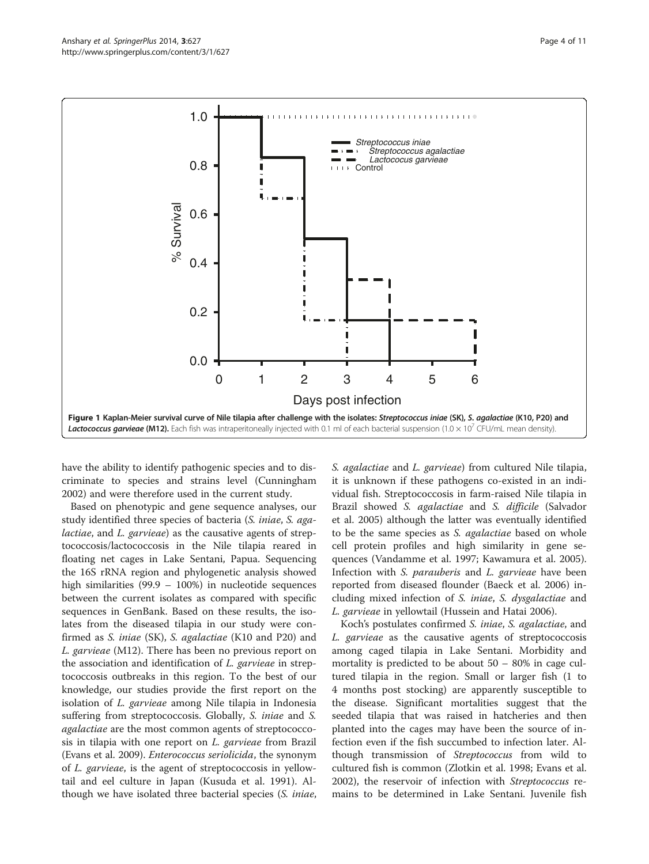<span id="page-3-0"></span>

have the ability to identify pathogenic species and to discriminate to species and strains level (Cunningham [2002](#page-8-0)) and were therefore used in the current study.

Based on phenotypic and gene sequence analyses, our study identified three species of bacteria (S. iniae, S. agalactiae, and L. garvieae) as the causative agents of streptococcosis/lactococcosis in the Nile tilapia reared in floating net cages in Lake Sentani, Papua. Sequencing the 16S rRNA region and phylogenetic analysis showed high similarities (99.9 – 100%) in nucleotide sequences between the current isolates as compared with specific sequences in GenBank. Based on these results, the isolates from the diseased tilapia in our study were confirmed as S. iniae (SK), S. agalactiae (K10 and P20) and L. garvieae (M12). There has been no previous report on the association and identification of L. garvieae in streptococcosis outbreaks in this region. To the best of our knowledge, our studies provide the first report on the isolation of L. garvieae among Nile tilapia in Indonesia suffering from streptococcosis. Globally, S. iniae and S. agalactiae are the most common agents of streptococcosis in tilapia with one report on L. garvieae from Brazil (Evans et al. [2009](#page-9-0)). Enterococcus seriolicida, the synonym of L. garvieae, is the agent of streptococcosis in yellowtail and eel culture in Japan (Kusuda et al. [1991](#page-9-0)). Although we have isolated three bacterial species (S. iniae,

S. agalactiae and L. garvieae) from cultured Nile tilapia, it is unknown if these pathogens co-existed in an individual fish. Streptococcosis in farm-raised Nile tilapia in Brazil showed S. agalactiae and S. difficile (Salvador et al. [2005](#page-9-0)) although the latter was eventually identified to be the same species as S. agalactiae based on whole cell protein profiles and high similarity in gene sequences (Vandamme et al. [1997](#page-9-0); Kawamura et al. [2005](#page-9-0)). Infection with S. *parauberis* and L. *garvieae* have been reported from diseased flounder (Baeck et al. [2006\)](#page-8-0) including mixed infection of S. iniae, S. dysgalactiae and L. garvieae in yellowtail (Hussein and Hatai [2006](#page-9-0)).

Koch's postulates confirmed S. iniae, S. agalactiae, and L. garvieae as the causative agents of streptococcosis among caged tilapia in Lake Sentani. Morbidity and mortality is predicted to be about 50 – 80% in cage cultured tilapia in the region. Small or larger fish (1 to 4 months post stocking) are apparently susceptible to the disease. Significant mortalities suggest that the seeded tilapia that was raised in hatcheries and then planted into the cages may have been the source of infection even if the fish succumbed to infection later. Although transmission of Streptococcus from wild to cultured fish is common (Zlotkin et al. [1998](#page-10-0); Evans et al. [2002](#page-9-0)), the reservoir of infection with Streptococcus remains to be determined in Lake Sentani. Juvenile fish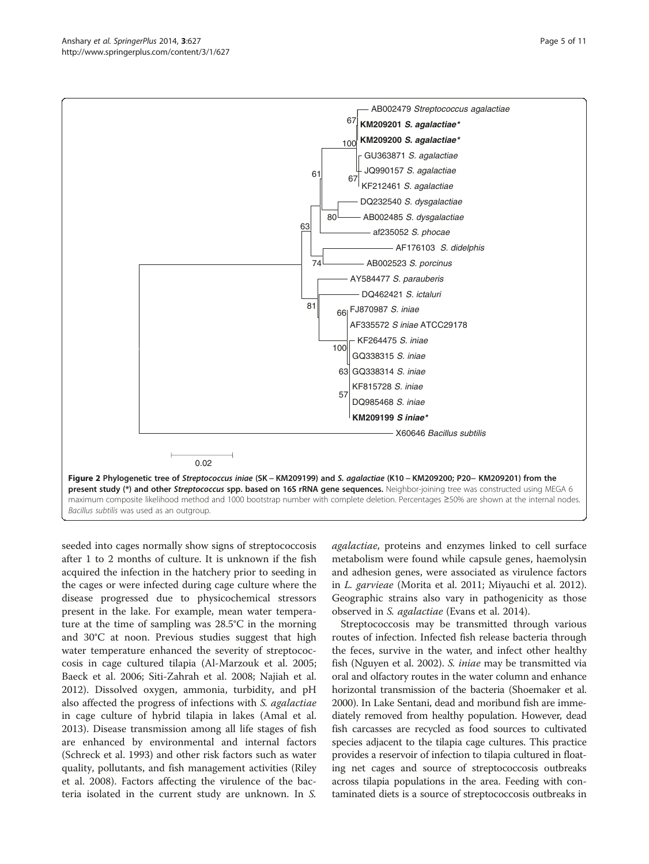<span id="page-4-0"></span>

seeded into cages normally show signs of streptococcosis after 1 to 2 months of culture. It is unknown if the fish acquired the infection in the hatchery prior to seeding in the cages or were infected during cage culture where the disease progressed due to physicochemical stressors present in the lake. For example, mean water temperature at the time of sampling was 28.5°C in the morning and 30°C at noon. Previous studies suggest that high water temperature enhanced the severity of streptococcosis in cage cultured tilapia (Al-Marzouk et al. [2005](#page-8-0); Baeck et al. [2006](#page-8-0); Siti-Zahrah et al. [2008](#page-9-0); Najiah et al. [2012](#page-9-0)). Dissolved oxygen, ammonia, turbidity, and pH also affected the progress of infections with S. agalactiae in cage culture of hybrid tilapia in lakes (Amal et al. [2013](#page-8-0)). Disease transmission among all life stages of fish are enhanced by environmental and internal factors (Schreck et al. [1993\)](#page-9-0) and other risk factors such as water quality, pollutants, and fish management activities (Riley et al. [2008\)](#page-9-0). Factors affecting the virulence of the bacteria isolated in the current study are unknown. In S.

agalactiae, proteins and enzymes linked to cell surface metabolism were found while capsule genes, haemolysin and adhesion genes, were associated as virulence factors in L. garvieae (Morita et al. [2011;](#page-9-0) Miyauchi et al. [2012](#page-9-0)). Geographic strains also vary in pathogenicity as those observed in S. agalactiae (Evans et al. [2014](#page-9-0)).

Streptococcosis may be transmitted through various routes of infection. Infected fish release bacteria through the feces, survive in the water, and infect other healthy fish (Nguyen et al. [2002\)](#page-9-0). S. iniae may be transmitted via oral and olfactory routes in the water column and enhance horizontal transmission of the bacteria (Shoemaker et al. [2000](#page-9-0)). In Lake Sentani, dead and moribund fish are immediately removed from healthy population. However, dead fish carcasses are recycled as food sources to cultivated species adjacent to the tilapia cage cultures. This practice provides a reservoir of infection to tilapia cultured in floating net cages and source of streptococcosis outbreaks across tilapia populations in the area. Feeding with contaminated diets is a source of streptococcosis outbreaks in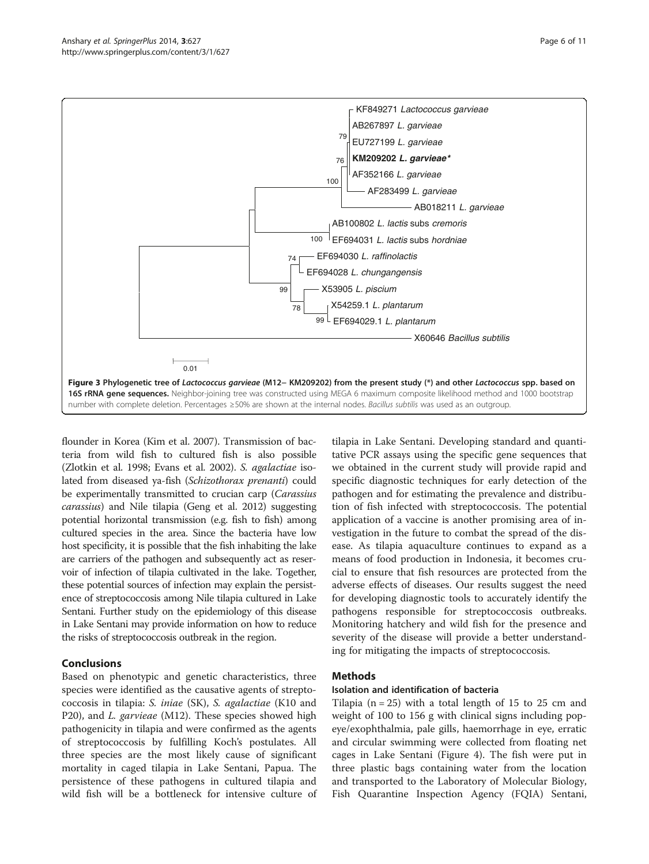

<span id="page-5-0"></span>

flounder in Korea (Kim et al. [2007\)](#page-9-0). Transmission of bacteria from wild fish to cultured fish is also possible (Zlotkin et al. [1998;](#page-10-0) Evans et al. [2002\)](#page-9-0). S. agalactiae isolated from diseased ya-fish (Schizothorax prenanti) could be experimentally transmitted to crucian carp (Carassius carassius) and Nile tilapia (Geng et al. [2012](#page-9-0)) suggesting potential horizontal transmission (e.g. fish to fish) among cultured species in the area. Since the bacteria have low host specificity, it is possible that the fish inhabiting the lake are carriers of the pathogen and subsequently act as reservoir of infection of tilapia cultivated in the lake. Together, these potential sources of infection may explain the persistence of streptococcosis among Nile tilapia cultured in Lake Sentani. Further study on the epidemiology of this disease in Lake Sentani may provide information on how to reduce the risks of streptococcosis outbreak in the region.

# Conclusions

Based on phenotypic and genetic characteristics, three species were identified as the causative agents of streptococcosis in tilapia: S. iniae (SK), S. agalactiae (K10 and P20), and *L. garvieae* (M12). These species showed high pathogenicity in tilapia and were confirmed as the agents of streptococcosis by fulfilling Koch's postulates. All three species are the most likely cause of significant mortality in caged tilapia in Lake Sentani, Papua. The persistence of these pathogens in cultured tilapia and wild fish will be a bottleneck for intensive culture of

tilapia in Lake Sentani. Developing standard and quantitative PCR assays using the specific gene sequences that we obtained in the current study will provide rapid and specific diagnostic techniques for early detection of the pathogen and for estimating the prevalence and distribution of fish infected with streptococcosis. The potential application of a vaccine is another promising area of investigation in the future to combat the spread of the disease. As tilapia aquaculture continues to expand as a means of food production in Indonesia, it becomes crucial to ensure that fish resources are protected from the adverse effects of diseases. Our results suggest the need for developing diagnostic tools to accurately identify the pathogens responsible for streptococcosis outbreaks. Monitoring hatchery and wild fish for the presence and severity of the disease will provide a better understanding for mitigating the impacts of streptococcosis.

## Methods

## Isolation and identification of bacteria

Tilapia ( $n = 25$ ) with a total length of 15 to 25 cm and weight of 100 to 156 g with clinical signs including popeye/exophthalmia, pale gills, haemorrhage in eye, erratic and circular swimming were collected from floating net cages in Lake Sentani (Figure [4\)](#page-6-0). The fish were put in three plastic bags containing water from the location and transported to the Laboratory of Molecular Biology, Fish Quarantine Inspection Agency (FQIA) Sentani,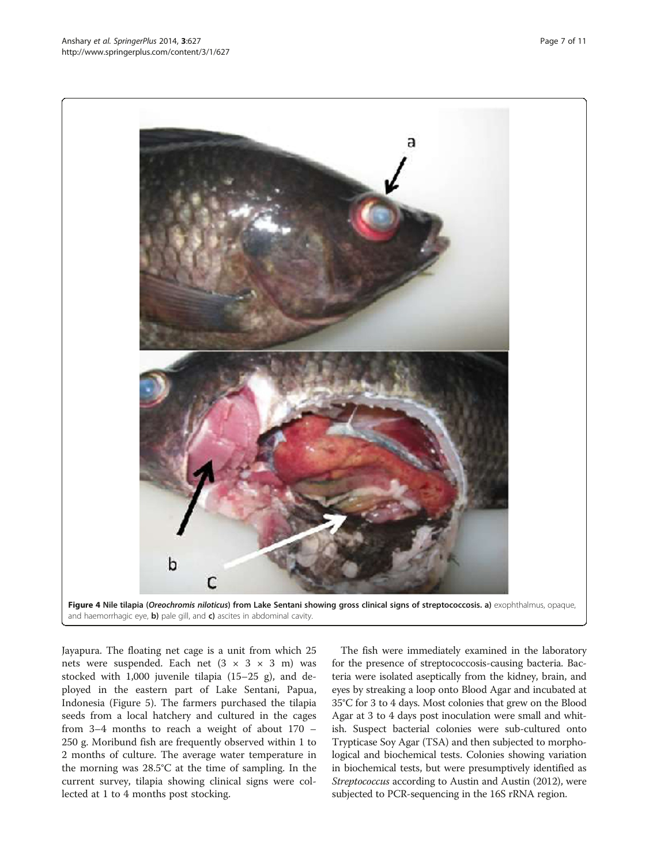Jayapura. The floating net cage is a unit from which 25 nets were suspended. Each net  $(3 \times 3 \times 3 \text{ m})$  was stocked with 1,000 juvenile tilapia (15–25 g), and deployed in the eastern part of Lake Sentani, Papua, Indonesia (Figure [5](#page-7-0)). The farmers purchased the tilapia seeds from a local hatchery and cultured in the cages from 3–4 months to reach a weight of about 170 – 250 g. Moribund fish are frequently observed within 1 to 2 months of culture. The average water temperature in

the morning was 28.5°C at the time of sampling. In the current survey, tilapia showing clinical signs were col-

lected at 1 to 4 months post stocking.

The fish were immediately examined in the laboratory for the presence of streptococcosis-causing bacteria. Bacteria were isolated aseptically from the kidney, brain, and eyes by streaking a loop onto Blood Agar and incubated at 35°C for 3 to 4 days. Most colonies that grew on the Blood Agar at 3 to 4 days post inoculation were small and whitish. Suspect bacterial colonies were sub-cultured onto Trypticase Soy Agar (TSA) and then subjected to morphological and biochemical tests. Colonies showing variation in biochemical tests, but were presumptively identified as Streptococcus according to Austin and Austin [\(2012\)](#page-8-0), were subjected to PCR-sequencing in the 16S rRNA region.

b C

Figure 4 Nile tilapia (Oreochromis niloticus) from Lake Sentani showing gross clinical signs of streptococcosis. a) exophthalmus, opaque, and haemorrhagic eye, **b**) pale gill, and **c**) ascites in abdominal cavity.

<span id="page-6-0"></span>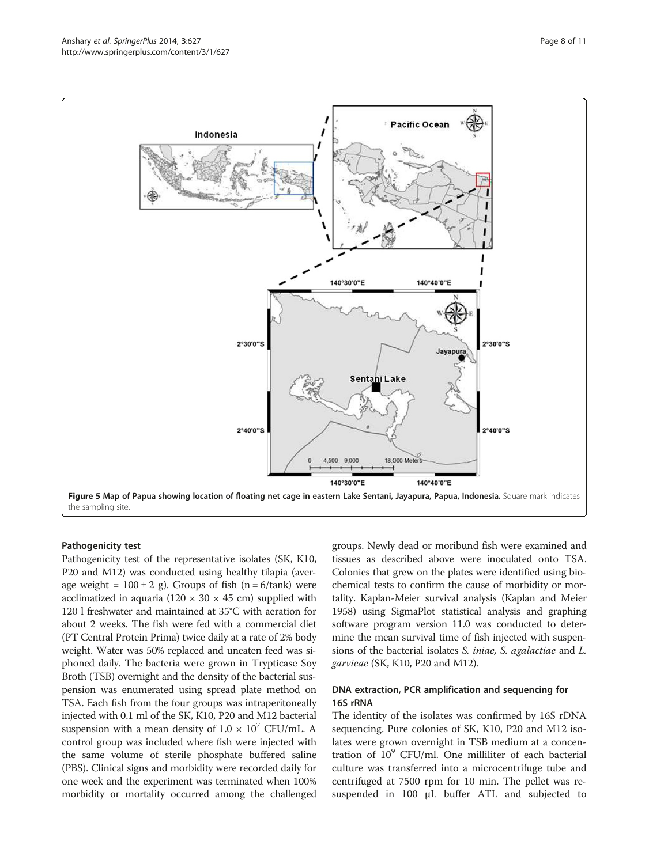<span id="page-7-0"></span>

#### Pathogenicity test

Pathogenicity test of the representative isolates (SK, K10, P20 and M12) was conducted using healthy tilapia (average weight =  $100 \pm 2$  g). Groups of fish (n = 6/tank) were acclimatized in aquaria (120  $\times$  30  $\times$  45 cm) supplied with 120 l freshwater and maintained at 35°C with aeration for about 2 weeks. The fish were fed with a commercial diet (PT Central Protein Prima) twice daily at a rate of 2% body weight. Water was 50% replaced and uneaten feed was siphoned daily. The bacteria were grown in Trypticase Soy Broth (TSB) overnight and the density of the bacterial suspension was enumerated using spread plate method on TSA. Each fish from the four groups was intraperitoneally injected with 0.1 ml of the SK, K10, P20 and M12 bacterial suspension with a mean density of  $1.0 \times 10^{7}$  CFU/mL. A control group was included where fish were injected with the same volume of sterile phosphate buffered saline (PBS). Clinical signs and morbidity were recorded daily for one week and the experiment was terminated when 100% morbidity or mortality occurred among the challenged

groups. Newly dead or moribund fish were examined and tissues as described above were inoculated onto TSA. Colonies that grew on the plates were identified using biochemical tests to confirm the cause of morbidity or mortality. Kaplan-Meier survival analysis (Kaplan and Meier [1958](#page-9-0)) using SigmaPlot statistical analysis and graphing software program version 11.0 was conducted to determine the mean survival time of fish injected with suspensions of the bacterial isolates S. iniae, S. agalactiae and L. garvieae (SK, K10, P20 and M12).

## DNA extraction, PCR amplification and sequencing for 16S rRNA

The identity of the isolates was confirmed by 16S rDNA sequencing. Pure colonies of SK, K10, P20 and M12 isolates were grown overnight in TSB medium at a concentration of  $10^9$  CFU/ml. One milliliter of each bacterial culture was transferred into a microcentrifuge tube and centrifuged at 7500 rpm for 10 min. The pellet was resuspended in 100 μL buffer ATL and subjected to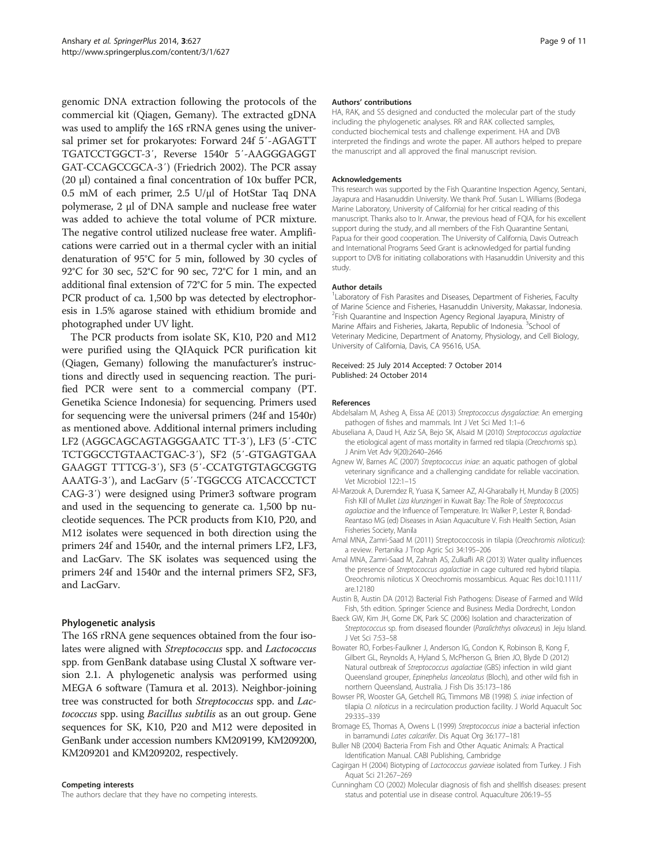<span id="page-8-0"></span>genomic DNA extraction following the protocols of the commercial kit (Qiagen, Gemany). The extracted gDNA was used to amplify the 16S rRNA genes using the universal primer set for prokaryotes: Forward 24f 5′-AGAGTT TGATCCTGGCT-3′, Reverse 1540r 5′-AAGGGAGGT GAT-CCAGCCGCA-3′) (Friedrich [2002](#page-9-0)). The PCR assay (20 μl) contained a final concentration of 10x buffer PCR, 0.5 mM of each primer, 2.5 U/μl of HotStar Taq DNA polymerase, 2 μl of DNA sample and nuclease free water was added to achieve the total volume of PCR mixture. The negative control utilized nuclease free water. Amplifications were carried out in a thermal cycler with an initial denaturation of 95°C for 5 min, followed by 30 cycles of 92°C for 30 sec, 52°C for 90 sec, 72°C for 1 min, and an additional final extension of 72°C for 5 min. The expected PCR product of ca. 1,500 bp was detected by electrophoresis in 1.5% agarose stained with ethidium bromide and photographed under UV light.

The PCR products from isolate SK, K10, P20 and M12 were purified using the QIAquick PCR purification kit (Qiagen, Gemany) following the manufacturer's instructions and directly used in sequencing reaction. The purified PCR were sent to a commercial company (PT. Genetika Science Indonesia) for sequencing. Primers used for sequencing were the universal primers (24f and 1540r) as mentioned above. Additional internal primers including LF2 (AGGCAGCAGTAGGGAATC TT-3′), LF3 (5′-CTC TCTGGCCTGTAACTGAC-3′), SF2 (5′-GTGAGTGAA GAAGGT TTTCG-3′), SF3 (5′-CCATGTGTAGCGGTG AAATG-3′), and LacGarv (5′-TGGCCG ATCACCCTCT CAG-3′) were designed using Primer3 software program and used in the sequencing to generate ca. 1,500 bp nucleotide sequences. The PCR products from K10, P20, and M12 isolates were sequenced in both direction using the primers 24f and 1540r, and the internal primers LF2, LF3, and LacGarv. The SK isolates was sequenced using the primers 24f and 1540r and the internal primers SF2, SF3, and LacGarv.

## Phylogenetic analysis

The 16S rRNA gene sequences obtained from the four isolates were aligned with Streptococcus spp. and Lactococcus spp. from GenBank database using Clustal X software version 2.1. A phylogenetic analysis was performed using MEGA 6 software (Tamura et al. [2013](#page-9-0)). Neighbor-joining tree was constructed for both *Streptococcus* spp. and *Lac*tococcus spp. using Bacillus subtilis as an out group. Gene sequences for SK, K10, P20 and M12 were deposited in GenBank under accession numbers KM209199, KM209200, KM209201 and KM209202, respectively.

#### Competing interests

The authors declare that they have no competing interests.

#### Authors' contributions

HA, RAK, and SS designed and conducted the molecular part of the study including the phylogenetic analyses. RR and RAK collected samples, conducted biochemical tests and challenge experiment. HA and DVB interpreted the findings and wrote the paper. All authors helped to prepare the manuscript and all approved the final manuscript revision.

#### Acknowledgements

This research was supported by the Fish Quarantine Inspection Agency, Sentani, Jayapura and Hasanuddin University. We thank Prof. Susan L. Williams (Bodega Marine Laboratory, University of California) for her critical reading of this manuscript. Thanks also to Ir. Anwar, the previous head of FQIA, for his excellent support during the study, and all members of the Fish Quarantine Sentani, Papua for their good cooperation. The University of California, Davis Outreach and International Programs Seed Grant is acknowledged for partial funding support to DVB for initiating collaborations with Hasanuddin University and this study.

#### Author details

<sup>1</sup> Laboratory of Fish Parasites and Diseases, Department of Fisheries, Faculty of Marine Science and Fisheries, Hasanuddin University, Makassar, Indonesia. <sup>2</sup>Fish Quarantine and Inspection Agency Regional Jayapura, Ministry of Marine Affairs and Fisheries, Jakarta, Republic of Indonesia. <sup>3</sup>School of Veterinary Medicine, Department of Anatomy, Physiology, and Cell Biology, University of California, Davis, CA 95616, USA.

#### Received: 25 July 2014 Accepted: 7 October 2014 Published: 24 October 2014

#### References

- Abdelsalam M, Asheg A, Eissa AE (2013) Streptococcus dysgalactiae: An emerging pathogen of fishes and mammals. Int J Vet Sci Med 1:1–6
- Abuseliana A, Daud H, Aziz SA, Bejo SK, Alsaid M (2010) Streptococcus agalactiae the etiological agent of mass mortality in farmed red tilapia (Oreochromis sp.). J Anim Vet Adv 9(20):2640–2646
- Agnew W, Barnes AC (2007) Streptococcus iniae: an aquatic pathogen of global veterinary significance and a challenging candidate for reliable vaccination. Vet Microbiol 122:1–15
- Al-Marzouk A, Duremdez R, Yuasa K, Sameer AZ, Al-Gharabally H, Munday B (2005) Fish Kill of Mullet Liza klunzingeri in Kuwait Bay: The Role of Streptococcus agalactiae and the Influence of Temperature. In: Walker P, Lester R, Bondad-Reantaso MG (ed) Diseases in Asian Aquaculture V. Fish Health Section, Asian Fisheries Society, Manila
- Amal MNA, Zamri-Saad M (2011) Streptococcosis in tilapia (Oreochromis niloticus): a review. Pertanika J Trop Agric Sci 34:195–206
- Amal MNA, Zamri-Saad M, Zahrah AS, Zulkafli AR (2013) Water quality influences the presence of Streptococcus agalactiae in cage cultured red hybrid tilapia. Oreochromis niloticus X Oreochromis mossambicus. Aquac Res doi:10.1111/ are.12180
- Austin B, Austin DA (2012) Bacterial Fish Pathogens: Disease of Farmed and Wild Fish, 5th edition. Springer Science and Business Media Dordrecht, London
- Baeck GW, Kim JH, Gome DK, Park SC (2006) Isolation and characterization of Streptococcus sp. from diseased flounder (Paralichthys olivaceus) in Jeju Island. J Vet Sci 7:53–58
- Bowater RO, Forbes-Faulkner J, Anderson IG, Condon K, Robinson B, Kong F, Gilbert GL, Reynolds A, Hyland S, McPherson G, Brien JO, Blyde D (2012) Natural outbreak of Streptococcus agalactiae (GBS) infection in wild giant Queensland grouper, Epinephelus lanceolatus (Bloch), and other wild fish in northern Queensland, Australia. J Fish Dis 35:173–186
- Bowser PR, Wooster GA, Getchell RG, Timmons MB (1998) S. iniae infection of tilapia O. niloticus in a recirculation production facility. J World Aquacult Soc 29:335–339
- Bromage ES, Thomas A, Owens L (1999) Streptococcus iniae a bacterial infection in barramundi Lates calcarifer. Dis Aquat Org 36:177–181
- Buller NB (2004) Bacteria From Fish and Other Aquatic Animals: A Practical Identification Manual. CABI Publishing, Cambridge
- Cagirgan H (2004) Biotyping of Lactococcus garvieae isolated from Turkey. J Fish Aquat Sci 21:267–269
- Cunningham CO (2002) Molecular diagnosis of fish and shellfish diseases: present status and potential use in disease control. Aquaculture 206:19–55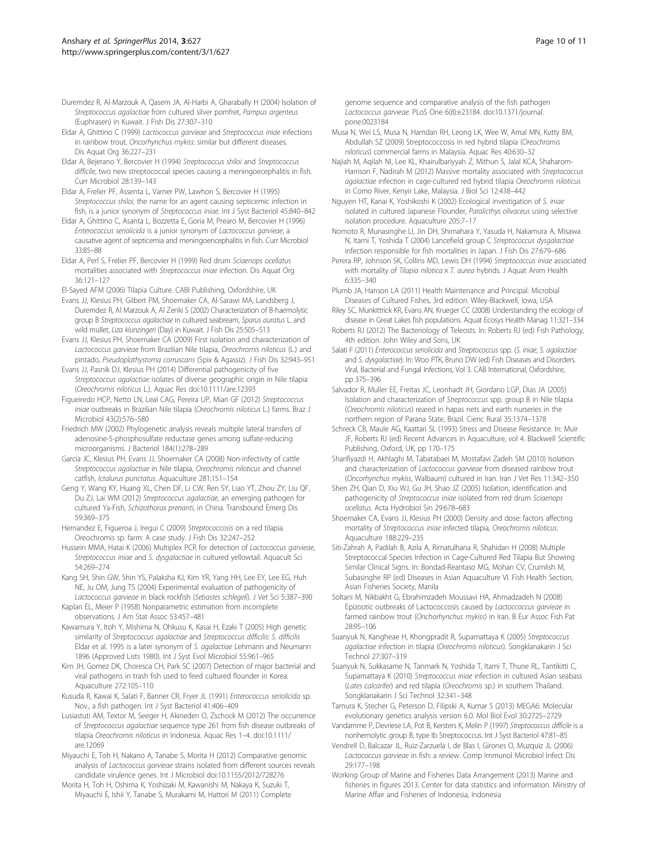- <span id="page-9-0"></span>Duremdez R, Al-Marzouk A, Qasem JA, Al-Harbi A, Gharabally H (2004) Isolation of Streptococcus agalactiae from cultured silver pomfret, Pampus argenteus (Euphrasen) in Kuwait. J Fish Dis 27:307–310
- Eldar A, Ghittino C (1999) Lactococcus garvieae and Streptococcus iniae infections in rainbow trout, Oncorhynchus mykiss: similar but different diseases. Dis Aquat Org 36:227–231
- Eldar A, Bejerano Y, Bercovier H (1994) Streptococcus shiloi and Streptococcus difficile, two new streptococcal species causing a meningoecephalitis in fish. Curr Microbiol 28:139–143
- Eldar A, Frelier PF, Assenta L, Varner PW, Lawhon S, Bercovier H (1995) Streptococcus shiloi, the name for an agent causing septicemic infection in fish, is a junior synonym of Streptococcus iniae. Int J Syst Bacteriol 45:840–842
- Eldar A, Ghittino C, Asanta L, Bozzetta E, Goria M, Prearo M, Bercovier H (1996) Enterococcus seriolicida is a junior synonym of Lactococcus garvieae, a causative agent of septicemia and meningoencephalitis in fish. Curr Microbiol 33:85–88
- Eldar A, Perl S, Frelier PF, Bercovier H (1999) Red drum Sciaenops ocellatus mortalities associated with Streptococcus iniae infection. Dis Aquat Org 36:121–127
- El-Sayed AFM (2006) Tilapia Culture. CABI Publishing, Oxfordshire, UK
- Evans JJ, Klesius PH, Gilbert PM, Shoemaker CA, Al-Sarawi MA, Landsberg J, Duremdez R, Al Marzouk A, Al Zenki S (2002) Characterization of B-haemolytic group B Streptococcus agalactiae in cultured seabream, Sparus auratus L. and wild mullet, Liza klunzingeri (Day) in Kuwait. J Fish Dis 25:505–513
- Evans JJ, Klesius PH, Shoemaker CA (2009) First isolation and characterization of Lactococcus garvieae from Brazilian Nile tilapia, Oreochromis niloticus (L.) and pintado, Pseudoplathystoma corruscans (Spix & Agassiz). J Fish Dis 32:943–951
- Evans JJ, Pasnik DJ, Klesius PH (2014) Differential pathogenicity of five Streptococcus agalactiae isolates of diverse geographic origin in Nile tilapia (Oreochromis niloticus L.). Aquac Res doi:10.1111/are.12393
- Figueiredo HCP, Netto LN, Leal CAG, Pereira UP, Mian GF (2012) Streptococcus iniae outbreaks in Brazilian Nile tilapia (Oreochromis niloticus L.) farms. Braz J Microbiol 43(2):576–580
- Friedrich MW (2002) Phylogenetic analysis reveals multiple lateral transfers of adenosine-5-phosphosulfate reductase genes among sulfate-reducing microorganisms. J Bacteriol 184(1):278–289
- Garcia JC, Klesius PH, Evans JJ, Shoemaker CA (2008) Non-infectivity of cattle Streptococcus agalactiae in Nile tilapia, Oreochromis niloticus and channel catfish, Ictalurus punctatus. Aquaculture 281:151–154
- Geng Y, Wang KY, Huang XL, Chen DF, Li CW, Ren SY, Liao YT, Zhou ZY, Liu QF, Du ZJ, Lai WM (2012) Streptococcus agalactiae, an emerging pathogen for cultured Ya-Fish, Schizothorax prenanti, in China. Transbound Emerg Dis 59:369–375
- Hernandez E, Figueroa J, Iregui C (2009) Streptococcosis on a red tilapia. Oreochromis sp. farm: A case study. J Fish Dis 32:247–252
- Hussein MMA, Hatai K (2006) Multiplex PCR for detection of Lactococcus garvieae, Streptococcus iniae and S. dysgalactiae in cultured yellowtail. Aquacult Sci 54:269–274
- Kang SH, Shin GW, Shin YS, Palaksha KJ, Kim YR, Yang HH, Lee EY, Lee EG, Huh NE, Ju OM, Jung TS (2004) Experimental evaluation of pathogenicity of Lactococcus garvieae in black rockfish (Sebastes schlegeli). J Vet Sci 5:387–390
- Kaplan EL, Meier P (1958) Nonparametric estimation from incomplete observations. J Am Stat Assoc 53:457–481
- Kawamura Y, Itoh Y, Mishima N, Ohkusu K, Kasai H, Ezaki T (2005) High genetic similarity of Streptococcus agalactiae and Streptococcus difficilis: S. difficilis Eldar et al. 1995 is a later synonym of S. agalactiae Lehmann and Neumann 1896 (Approved Lists 1980). Int J Syst Evol Microbiol 55:961–965
- Kim JH, Gomez DK, Choresca CH, Park SC (2007) Detection of major bacterial and viral pathogens in trash fish used to feed cultured flounder in Korea. Aquaculture 272:105–110
- Kusuda R, Kawai K, Salati F, Banner CR, Fryer JL (1991) Enterococcus seriolicida sp. Nov., a fish pathogen. Int J Syst Bacteriol 41:406–409
- Lusiastuti AM, Textor M, Seeger H, Akineden O, Zschock M (2012) The occurrence of Streptococcus agalactiae sequence type 261 from fish disease outbreaks of tilapia Oreochromis niloticus in Indonesia. Aquac Res 1–4. doi:10.1111/ are.12069
- Miyauchi E, Toh H, Nakano A, Tanabe S, Morita H (2012) Comparative genomic analysis of Lactococcus garvieae strains isolated from different sources reveals candidate virulence genes. Int J Microbiol doi:10.1155/2012/728276
- Morita H, Toh H, Oshima K, Yoshizaki M, Kawanishi M, Nakaya K, Suzuki T, Miyauchi E, Ishii Y, Tanabe S, Murakami M, Hattori M (2011) Complete

genome sequence and comparative analysis of the fish pathogen Lactococcus garvieae. PLoS One 6(8):e23184. doi:10.1371/journal. pone.0023184

- Musa N, Wei LS, Musa N, Hamdan RH, Leong LK, Wee W, Amal MN, Kutty BM, Abdullah SZ (2009) Streptococcosis in red hybrid tilapia (Oreochromis niloticus) commercial farms in Malaysia. Aquac Res 40:630–32
- Najiah M, Aqilah NI, Lee KL, Khairulbariyyah Z, Mithun S, Jalal KCA, Shaharom-Harrison F, Nadirah M (2012) Massive mortality associated with Streptococcus agalactiae infection in cage-cultured red hybrid tilapia Oreochromis niloticus in Como River, Kenyir Lake, Malaysia. J Biol Sci 12:438–442
- Nguyen HT, Kanai K, Yoshikoshi K (2002) Ecological investigation of S. iniae isolated in cultured Japanese Flounder, Paralicthys olivaceus using selective isolation procedure. Aquaculture 205:7–17
- Nomoto R, Munasinghe LI, Jin DH, Shimahara Y, Yasuda H, Nakamura A, Misawa N, Itami T, Yoshida T (2004) Lancefield group C Streptococcus dysgalactiae infection responsible for fish mortalities in Japan. J Fish Dis 27:679–686
- Perera RP, Johnson SK, Collins MD, Lewis DH (1994) Streptococcus iniae associated with mortality of Tilapia nilotica  $\times$  T. aurea hybrids. J Aquat Anim Health 6:335–340
- Plumb JA, Hanson LA (2011) Health Maintenance and Principal: Microbial Diseases of Cultured Fishes, 3rd edition. Wiley-Blackwell, Iowa, USA
- Riley SC, Munkittrick KR, Evans AN, Krueger CC (2008) Understanding the ecology of disease in Great Lakes fish populations. Aquat Ecosys Health Manag 11:321–334
- Roberts RJ (2012) The Bacteriology of Teleosts. In: Roberts RJ (ed) Fish Pathology, 4th edition. John Wiley and Sons, UK
- Salati F (2011) Enterococcus seriolicida and Streptococcus spp. (S. iniae, S. agalactiae and S. dysgalactiae). In: Woo PTK, Bruno DW (ed) Fish Diseases and Disorders. Viral, Bacterial and Fungal Infections, Vol 3. CAB International, Oxfordshire, pp 375–396
- Salvador R, Muller EE, Freitas JC, Leonhadt JH, Giordano LGP, Dias JA (2005) Isolation and characterization of Streptococcus spp. group B in Nile tilapia (Oreochromis niloticus) reared in hapas nets and earth nurseries in the northern region of Parana State, Brazil. Cienc Rural 35:1374–1378
- Schreck CB, Maule AG, Kaattari SL (1993) Stress and Disease Resistance. In: Muir JF, Roberts RJ (ed) Recent Advances in Aquaculture, vol 4. Blackwell Scientific Publishing, Oxford, UK, pp 170–175
- Sharifiyazdi H, Akhlaghi M, Tabatabaei M, Mostafavi Zadeh SM (2010) Isolation and characterization of Lactococcus garvieae from diseased rainbow trout (Oncorhynchus mykiss, Walbaum) cultured in Iran. Iran J Vet Res 11:342–350
- Shen ZH, Qian D, Xiu WJ, Gu JH, Shao JZ (2005) Isolation, identification and pathogenicity of Streptococcus iniae isolated from red drum Sciaenops ocellatus. Acta Hydrobiol Sin 29:678–683
- Shoemaker CA, Evans JJ, Klesius PH (2000) Density and dose: factors affecting mortality of Streptococcus iniae infected tilapia, Oreochromis niloticus. Aquaculture 188:229–235
- Siti-Zahrah A, Padilah B, Azila A, Rimatulhana R, Shahidan H (2008) Multiple Streptococcal Species Infection in Cage-Cultured Red Tilapia But Showing Similar Clinical Signs. In: Bondad-Reantaso MG, Mohan CV, Crumlish M, Subasinghe RP (ed) Diseases in Asian Aquaculture VI. Fish Health Section, Asian Fisheries Society, Manila
- Soltani M, Nikbakht G, Ebrahimzadeh Moussavi HA, Ahmadzadeh N (2008) Epizootic outbreaks of Lactococcosis caused by Lactoccoccus garvieae in farmed rainbow trout (Onchorhynchus mykiss) in Iran. B Eur Assoc Fish Pat 28:95–106
- Suanyuk N, Kangheae H, Khongpradit R, Supamattaya K (2005) Streptococcus agalactiae infection in tilapia (Oreochromis niloticus). Songklanakarin J Sci Technol 27:307–319
- Suanyuk N, Sukkasame N, Tanmark N, Yoshida T, Itami T, Thune RL, Tantikitti C, Supamattaya K (2010) Streptococcus iniae infection in cultured Asian seabass (Lates calcarifer) and red tilapia (Oreochromis sp.) in southern Thailand. Songklanakarin J Sci Technol 32:341–348
- Tamura K, Stecher G, Peterson D, Filipski A, Kumar S (2013) MEGA6: Molecular evolutionary genetics analysis version 6.0. Mol Biol Evol 30:2725–2729
- Vandamme P, Devriese LA, Pot B, Kersters K, Melin P (1997) Streptococcus difficile is a nonhemolytic group B, type Ib Streptococcus. Int J Syst Bacteriol 47:81–85
- Vendrell D, Balcazar JL, Ruiz-Zarzuela I, de Blas I, Girones O, Muzquiz JL (2006) Lactococcus garvieae in fish: a review. Comp Immunol Microbiol Infect Dis 29:177–198
- Working Group of Marine and Fisheries Data Arrangement (2013) Marine and fisheries in figures 2013. Center for data statistics and information. Ministry of Marine Affair and Fisheries of Indonesia, Indonesia